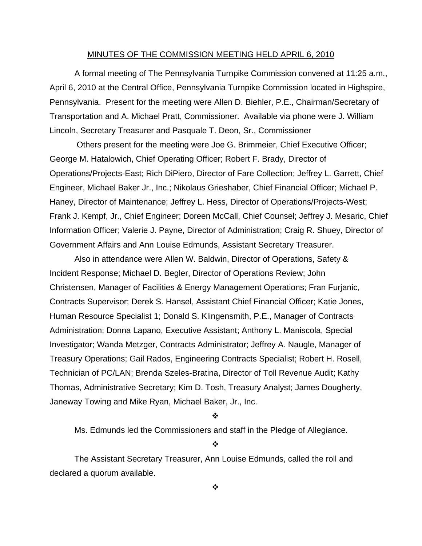#### MINUTES OF THE COMMISSION MEETING HELD APRIL 6, 2010

 A formal meeting of The Pennsylvania Turnpike Commission convened at 11:25 a.m., April 6, 2010 at the Central Office, Pennsylvania Turnpike Commission located in Highspire, Pennsylvania. Present for the meeting were Allen D. Biehler, P.E., Chairman/Secretary of Transportation and A. Michael Pratt, Commissioner. Available via phone were J. William Lincoln, Secretary Treasurer and Pasquale T. Deon, Sr., Commissioner

 Others present for the meeting were Joe G. Brimmeier, Chief Executive Officer; George M. Hatalowich, Chief Operating Officer; Robert F. Brady, Director of Operations/Projects-East; Rich DiPiero, Director of Fare Collection; Jeffrey L. Garrett, Chief Engineer, Michael Baker Jr., Inc.; Nikolaus Grieshaber, Chief Financial Officer; Michael P. Haney, Director of Maintenance; Jeffrey L. Hess, Director of Operations/Projects-West; Frank J. Kempf, Jr., Chief Engineer; Doreen McCall, Chief Counsel; Jeffrey J. Mesaric, Chief Information Officer; Valerie J. Payne, Director of Administration; Craig R. Shuey, Director of Government Affairs and Ann Louise Edmunds, Assistant Secretary Treasurer.

Also in attendance were Allen W. Baldwin, Director of Operations, Safety & Incident Response; Michael D. Begler, Director of Operations Review; John Christensen, Manager of Facilities & Energy Management Operations; Fran Furjanic, Contracts Supervisor; Derek S. Hansel, Assistant Chief Financial Officer; Katie Jones, Human Resource Specialist 1; Donald S. Klingensmith, P.E., Manager of Contracts Administration; Donna Lapano, Executive Assistant; Anthony L. Maniscola, Special Investigator; Wanda Metzger, Contracts Administrator; Jeffrey A. Naugle, Manager of Treasury Operations; Gail Rados, Engineering Contracts Specialist; Robert H. Rosell, Technician of PC/LAN; Brenda Szeles-Bratina, Director of Toll Revenue Audit; Kathy Thomas, Administrative Secretary; Kim D. Tosh, Treasury Analyst; James Dougherty, Janeway Towing and Mike Ryan, Michael Baker, Jr., Inc.

#### ❖

Ms. Edmunds led the Commissioners and staff in the Pledge of Allegiance.

#### $\frac{1}{2}$

The Assistant Secretary Treasurer, Ann Louise Edmunds, called the roll and declared a quorum available.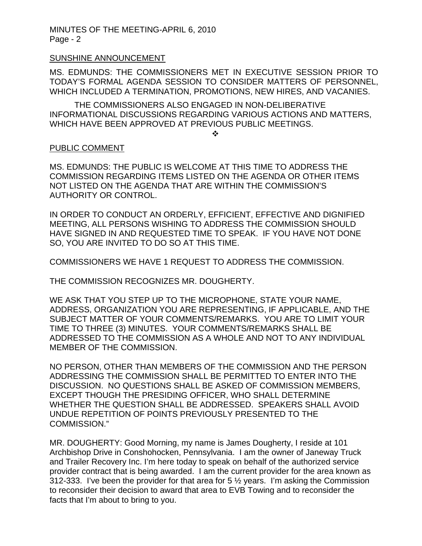#### SUNSHINE ANNOUNCEMENT

MS. EDMUNDS: THE COMMISSIONERS MET IN EXECUTIVE SESSION PRIOR TO TODAY'S FORMAL AGENDA SESSION TO CONSIDER MATTERS OF PERSONNEL, WHICH INCLUDED A TERMINATION, PROMOTIONS, NEW HIRES, AND VACANIES.

THE COMMISSIONERS ALSO ENGAGED IN NON-DELIBERATIVE INFORMATIONAL DISCUSSIONS REGARDING VARIOUS ACTIONS AND MATTERS, WHICH HAVE BEEN APPROVED AT PREVIOUS PUBLIC MEETINGS.

 $\frac{1}{2}$ 

#### PUBLIC COMMENT

MS. EDMUNDS: THE PUBLIC IS WELCOME AT THIS TIME TO ADDRESS THE COMMISSION REGARDING ITEMS LISTED ON THE AGENDA OR OTHER ITEMS NOT LISTED ON THE AGENDA THAT ARE WITHIN THE COMMISSION'S AUTHORITY OR CONTROL.

IN ORDER TO CONDUCT AN ORDERLY, EFFICIENT, EFFECTIVE AND DIGNIFIED MEETING, ALL PERSONS WISHING TO ADDRESS THE COMMISSION SHOULD HAVE SIGNED IN AND REQUESTED TIME TO SPEAK. IF YOU HAVE NOT DONE SO, YOU ARE INVITED TO DO SO AT THIS TIME.

COMMISSIONERS WE HAVE 1 REQUEST TO ADDRESS THE COMMISSION.

THE COMMISSION RECOGNIZES MR. DOUGHERTY.

WE ASK THAT YOU STEP UP TO THE MICROPHONE, STATE YOUR NAME, ADDRESS, ORGANIZATION YOU ARE REPRESENTING, IF APPLICABLE, AND THE SUBJECT MATTER OF YOUR COMMENTS/REMARKS. YOU ARE TO LIMIT YOUR TIME TO THREE (3) MINUTES. YOUR COMMENTS/REMARKS SHALL BE ADDRESSED TO THE COMMISSION AS A WHOLE AND NOT TO ANY INDIVIDUAL MEMBER OF THE COMMISSION.

NO PERSON, OTHER THAN MEMBERS OF THE COMMISSION AND THE PERSON ADDRESSING THE COMMISSION SHALL BE PERMITTED TO ENTER INTO THE DISCUSSION. NO QUESTIONS SHALL BE ASKED OF COMMISSION MEMBERS, EXCEPT THOUGH THE PRESIDING OFFICER, WHO SHALL DETERMINE WHETHER THE QUESTION SHALL BE ADDRESSED. SPEAKERS SHALL AVOID UNDUE REPETITION OF POINTS PREVIOUSLY PRESENTED TO THE COMMISSION."

MR. DOUGHERTY: Good Morning, my name is James Dougherty, I reside at 101 Archbishop Drive in Conshohocken, Pennsylvania. I am the owner of Janeway Truck and Trailer Recovery Inc. I'm here today to speak on behalf of the authorized service provider contract that is being awarded. I am the current provider for the area known as 312-333. I've been the provider for that area for 5 ½ years. I'm asking the Commission to reconsider their decision to award that area to EVB Towing and to reconsider the facts that I'm about to bring to you.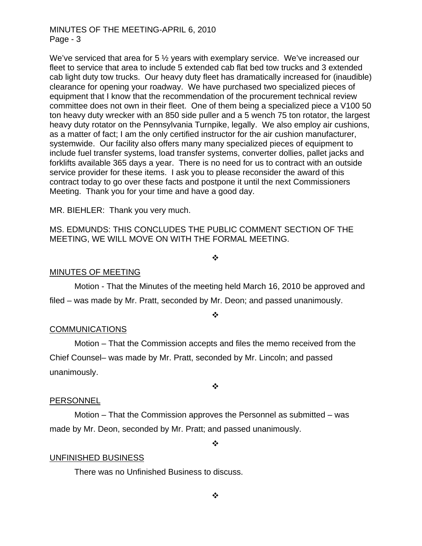We've serviced that area for 5 <sup>1/2</sup> years with exemplary service. We've increased our fleet to service that area to include 5 extended cab flat bed tow trucks and 3 extended cab light duty tow trucks. Our heavy duty fleet has dramatically increased for (inaudible) clearance for opening your roadway. We have purchased two specialized pieces of equipment that I know that the recommendation of the procurement technical review committee does not own in their fleet. One of them being a specialized piece a V100 50 ton heavy duty wrecker with an 850 side puller and a 5 wench 75 ton rotator, the largest heavy duty rotator on the Pennsylvania Turnpike, legally. We also employ air cushions, as a matter of fact; I am the only certified instructor for the air cushion manufacturer, systemwide. Our facility also offers many many specialized pieces of equipment to include fuel transfer systems, load transfer systems, converter dollies, pallet jacks and forklifts available 365 days a year. There is no need for us to contract with an outside service provider for these items. I ask you to please reconsider the award of this contract today to go over these facts and postpone it until the next Commissioners Meeting. Thank you for your time and have a good day.

MR. BIEHLER: Thank you very much.

MS. EDMUNDS: THIS CONCLUDES THE PUBLIC COMMENT SECTION OF THE MEETING, WE WILL MOVE ON WITH THE FORMAL MEETING.

#### $\frac{1}{2}$

#### MINUTES OF MEETING

Motion - That the Minutes of the meeting held March 16, 2010 be approved and filed – was made by Mr. Pratt, seconded by Mr. Deon; and passed unanimously.

#### ❖

#### **COMMUNICATIONS**

 Motion – That the Commission accepts and files the memo received from the Chief Counsel– was made by Mr. Pratt, seconded by Mr. Lincoln; and passed unanimously.

#### ❖

## PERSONNEL

 Motion – That the Commission approves the Personnel as submitted – was made by Mr. Deon, seconded by Mr. Pratt; and passed unanimously.

 $\ddot{\cdot}$ 

## UNFINISHED BUSINESS

There was no Unfinished Business to discuss.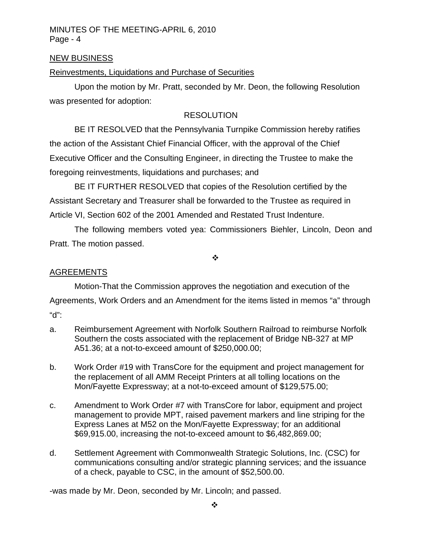## NEW BUSINESS

# Reinvestments, Liquidations and Purchase of Securities

 Upon the motion by Mr. Pratt, seconded by Mr. Deon, the following Resolution was presented for adoption:

# **RESOLUTION**

 BE IT RESOLVED that the Pennsylvania Turnpike Commission hereby ratifies the action of the Assistant Chief Financial Officer, with the approval of the Chief Executive Officer and the Consulting Engineer, in directing the Trustee to make the foregoing reinvestments, liquidations and purchases; and

 BE IT FURTHER RESOLVED that copies of the Resolution certified by the Assistant Secretary and Treasurer shall be forwarded to the Trustee as required in Article VI, Section 602 of the 2001 Amended and Restated Trust Indenture.

The following members voted yea: Commissioners Biehler, Lincoln, Deon and Pratt. The motion passed.

❖

# AGREEMENTS

Motion-That the Commission approves the negotiation and execution of the Agreements, Work Orders and an Amendment for the items listed in memos "a" through "d":

- a. Reimbursement Agreement with Norfolk Southern Railroad to reimburse Norfolk Southern the costs associated with the replacement of Bridge NB-327 at MP A51.36; at a not-to-exceed amount of \$250,000.00;
- b. Work Order #19 with TransCore for the equipment and project management for the replacement of all AMM Receipt Printers at all tolling locations on the Mon/Fayette Expressway; at a not-to-exceed amount of \$129,575.00;
- c. Amendment to Work Order #7 with TransCore for labor, equipment and project management to provide MPT, raised pavement markers and line striping for the Express Lanes at M52 on the Mon/Fayette Expressway; for an additional \$69,915.00, increasing the not-to-exceed amount to \$6,482,869.00;
- d. Settlement Agreement with Commonwealth Strategic Solutions, Inc. (CSC) for communications consulting and/or strategic planning services; and the issuance of a check, payable to CSC, in the amount of \$52,500.00.

-was made by Mr. Deon, seconded by Mr. Lincoln; and passed.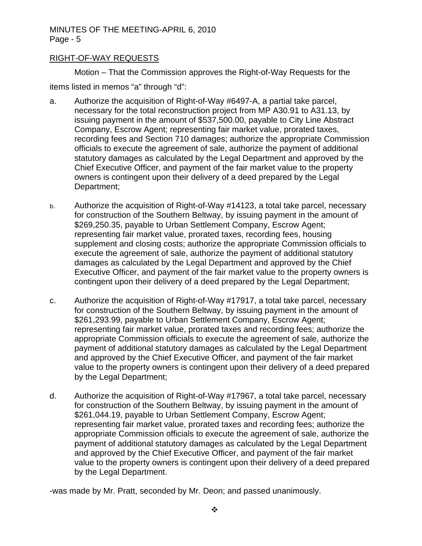# RIGHT-OF-WAY REQUESTS

Motion – That the Commission approves the Right-of-Way Requests for the items listed in memos "a" through "d":

- a. Authorize the acquisition of Right-of-Way #6497-A, a partial take parcel, necessary for the total reconstruction project from MP A30.91 to A31.13, by issuing payment in the amount of \$537,500.00, payable to City Line Abstract Company, Escrow Agent; representing fair market value, prorated taxes, recording fees and Section 710 damages; authorize the appropriate Commission officials to execute the agreement of sale, authorize the payment of additional statutory damages as calculated by the Legal Department and approved by the Chief Executive Officer, and payment of the fair market value to the property owners is contingent upon their delivery of a deed prepared by the Legal Department;
- b. Authorize the acquisition of Right-of-Way #14123, a total take parcel, necessary for construction of the Southern Beltway, by issuing payment in the amount of \$269,250.35, payable to Urban Settlement Company, Escrow Agent; representing fair market value, prorated taxes, recording fees, housing supplement and closing costs; authorize the appropriate Commission officials to execute the agreement of sale, authorize the payment of additional statutory damages as calculated by the Legal Department and approved by the Chief Executive Officer, and payment of the fair market value to the property owners is contingent upon their delivery of a deed prepared by the Legal Department;
- c. Authorize the acquisition of Right-of-Way #17917, a total take parcel, necessary for construction of the Southern Beltway, by issuing payment in the amount of \$261,293.99, payable to Urban Settlement Company, Escrow Agent; representing fair market value, prorated taxes and recording fees; authorize the appropriate Commission officials to execute the agreement of sale, authorize the payment of additional statutory damages as calculated by the Legal Department and approved by the Chief Executive Officer, and payment of the fair market value to the property owners is contingent upon their delivery of a deed prepared by the Legal Department;
- d. Authorize the acquisition of Right-of-Way #17967, a total take parcel, necessary for construction of the Southern Beltway, by issuing payment in the amount of \$261,044.19, payable to Urban Settlement Company, Escrow Agent; representing fair market value, prorated taxes and recording fees; authorize the appropriate Commission officials to execute the agreement of sale, authorize the payment of additional statutory damages as calculated by the Legal Department and approved by the Chief Executive Officer, and payment of the fair market value to the property owners is contingent upon their delivery of a deed prepared by the Legal Department.

-was made by Mr. Pratt, seconded by Mr. Deon; and passed unanimously.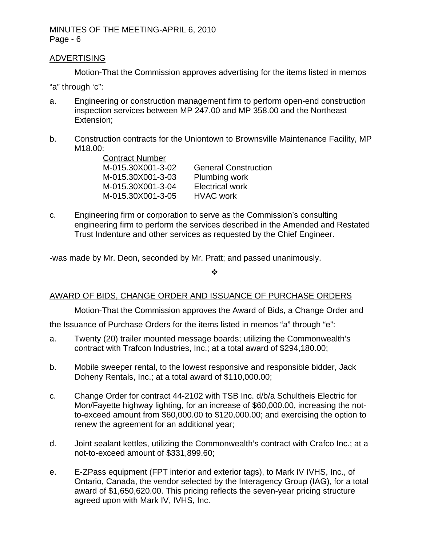#### ADVERTISING

Motion-That the Commission approves advertising for the items listed in memos

"a" through 'c":

- a. Engineering or construction management firm to perform open-end construction inspection services between MP 247.00 and MP 358.00 and the Northeast Extension;
- b. Construction contracts for the Uniontown to Brownsville Maintenance Facility, MP M18.00:

Contract Number M-015.30X001-3-02 General Construction M-015.30X001-3-03 Plumbing work M-015.30X001-3-04 Electrical work M-015.30X001-3-05 HVAC work

c. Engineering firm or corporation to serve as the Commission's consulting engineering firm to perform the services described in the Amended and Restated Trust Indenture and other services as requested by the Chief Engineer.

-was made by Mr. Deon, seconded by Mr. Pratt; and passed unanimously.

 $\frac{1}{2}$ 

## AWARD OF BIDS, CHANGE ORDER AND ISSUANCE OF PURCHASE ORDERS

Motion-That the Commission approves the Award of Bids, a Change Order and

the Issuance of Purchase Orders for the items listed in memos "a" through "e":

- a. Twenty (20) trailer mounted message boards; utilizing the Commonwealth's contract with Trafcon Industries, Inc.; at a total award of \$294,180.00;
- b. Mobile sweeper rental, to the lowest responsive and responsible bidder, Jack Doheny Rentals, Inc.; at a total award of \$110,000.00;
- c. Change Order for contract 44-2102 with TSB Inc. d/b/a Schultheis Electric for Mon/Fayette highway lighting, for an increase of \$60,000.00, increasing the notto-exceed amount from \$60,000.00 to \$120,000.00; and exercising the option to renew the agreement for an additional year;
- d. Joint sealant kettles, utilizing the Commonwealth's contract with Crafco Inc.; at a not-to-exceed amount of \$331,899.60;
- e. E-ZPass equipment (FPT interior and exterior tags), to Mark IV IVHS, Inc., of Ontario, Canada, the vendor selected by the Interagency Group (IAG), for a total award of \$1,650,620.00. This pricing reflects the seven-year pricing structure agreed upon with Mark IV, IVHS, Inc.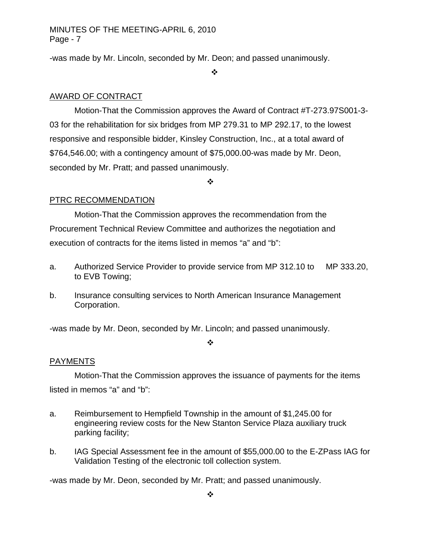-was made by Mr. Lincoln, seconded by Mr. Deon; and passed unanimously.

❖

# AWARD OF CONTRACT

Motion-That the Commission approves the Award of Contract #T-273.97S001-3- 03 for the rehabilitation for six bridges from MP 279.31 to MP 292.17, to the lowest responsive and responsible bidder, Kinsley Construction, Inc., at a total award of \$764,546.00; with a contingency amount of \$75,000.00-was made by Mr. Deon, seconded by Mr. Pratt; and passed unanimously.

❖

# PTRC RECOMMENDATION

Motion-That the Commission approves the recommendation from the Procurement Technical Review Committee and authorizes the negotiation and execution of contracts for the items listed in memos "a" and "b":

- a. Authorized Service Provider to provide service from MP 312.10 to MP 333.20, to EVB Towing;
- b. Insurance consulting services to North American Insurance Management Corporation.

-was made by Mr. Deon, seconded by Mr. Lincoln; and passed unanimously.

#### $\frac{1}{2}$

# PAYMENTS

Motion-That the Commission approves the issuance of payments for the items listed in memos "a" and "b":

- a. Reimbursement to Hempfield Township in the amount of \$1,245.00 for engineering review costs for the New Stanton Service Plaza auxiliary truck parking facility;
- b. IAG Special Assessment fee in the amount of \$55,000.00 to the E-ZPass IAG for Validation Testing of the electronic toll collection system.

-was made by Mr. Deon, seconded by Mr. Pratt; and passed unanimously.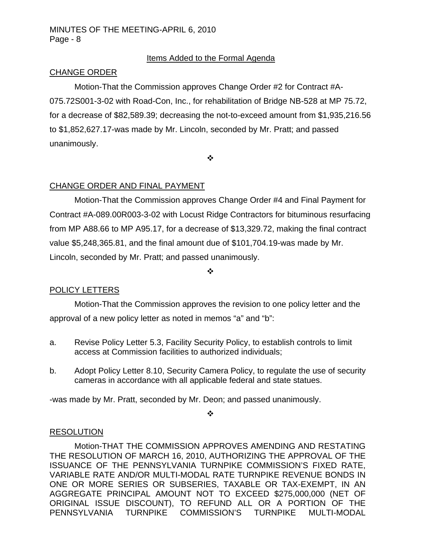# Items Added to the Formal Agenda

## CHANGE ORDER

Motion-That the Commission approves Change Order #2 for Contract #A-075.72S001-3-02 with Road-Con, Inc., for rehabilitation of Bridge NB-528 at MP 75.72, for a decrease of \$82,589.39; decreasing the not-to-exceed amount from \$1,935,216.56 to \$1,852,627.17-was made by Mr. Lincoln, seconded by Mr. Pratt; and passed unanimously.

 $\cdot$ 

# CHANGE ORDER AND FINAL PAYMENT

Motion-That the Commission approves Change Order #4 and Final Payment for Contract #A-089.00R003-3-02 with Locust Ridge Contractors for bituminous resurfacing from MP A88.66 to MP A95.17, for a decrease of \$13,329.72, making the final contract value \$5,248,365.81, and the final amount due of \$101,704.19-was made by Mr. Lincoln, seconded by Mr. Pratt; and passed unanimously.

❖

# POLICY LETTERS

Motion-That the Commission approves the revision to one policy letter and the approval of a new policy letter as noted in memos "a" and "b":

- a. Revise Policy Letter 5.3, Facility Security Policy, to establish controls to limit access at Commission facilities to authorized individuals;
- b. Adopt Policy Letter 8.10, Security Camera Policy, to regulate the use of security cameras in accordance with all applicable federal and state statues.

-was made by Mr. Pratt, seconded by Mr. Deon; and passed unanimously.

#### ❖

## RESOLUTION

Motion-THAT THE COMMISSION APPROVES AMENDING AND RESTATING THE RESOLUTION OF MARCH 16, 2010, AUTHORIZING THE APPROVAL OF THE ISSUANCE OF THE PENNSYLVANIA TURNPIKE COMMISSION'S FIXED RATE, VARIABLE RATE AND/OR MULTI-MODAL RATE TURNPIKE REVENUE BONDS IN ONE OR MORE SERIES OR SUBSERIES, TAXABLE OR TAX-EXEMPT, IN AN AGGREGATE PRINCIPAL AMOUNT NOT TO EXCEED \$275,000,000 (NET OF ORIGINAL ISSUE DISCOUNT), TO REFUND ALL OR A PORTION OF THE PENNSYLVANIA TURNPIKE COMMISSION'S TURNPIKE MULTI-MODAL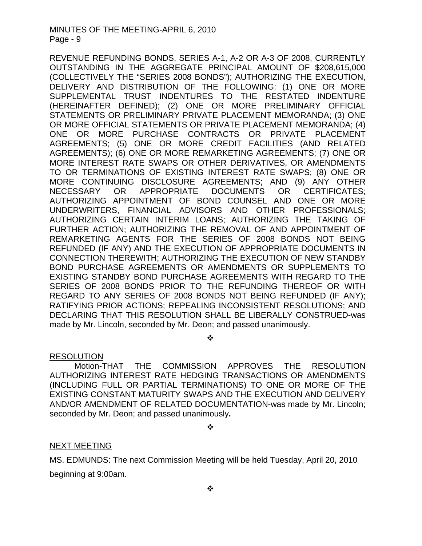REVENUE REFUNDING BONDS, SERIES A-1, A-2 OR A-3 OF 2008, CURRENTLY OUTSTANDING IN THE AGGREGATE PRINCIPAL AMOUNT OF \$208,615,000 (COLLECTIVELY THE "SERIES 2008 BONDS"); AUTHORIZING THE EXECUTION, DELIVERY AND DISTRIBUTION OF THE FOLLOWING: (1) ONE OR MORE SUPPLEMENTAL TRUST INDENTURES TO THE RESTATED INDENTURE (HEREINAFTER DEFINED); (2) ONE OR MORE PRELIMINARY OFFICIAL STATEMENTS OR PRELIMINARY PRIVATE PLACEMENT MEMORANDA; (3) ONE OR MORE OFFICIAL STATEMENTS OR PRIVATE PLACEMENT MEMORANDA; (4) ONE OR MORE PURCHASE CONTRACTS OR PRIVATE PLACEMENT AGREEMENTS; (5) ONE OR MORE CREDIT FACILITIES (AND RELATED AGREEMENTS); (6) ONE OR MORE REMARKETING AGREEMENTS; (7) ONE OR MORE INTEREST RATE SWAPS OR OTHER DERIVATIVES, OR AMENDMENTS TO OR TERMINATIONS OF EXISTING INTEREST RATE SWAPS; (8) ONE OR MORE CONTINUING DISCLOSURE AGREEMENTS; AND (9) ANY OTHER NECESSARY OR APPROPRIATE DOCUMENTS OR CERTIFICATES; AUTHORIZING APPOINTMENT OF BOND COUNSEL AND ONE OR MORE UNDERWRITERS, FINANCIAL ADVISORS AND OTHER PROFESSIONALS; AUTHORIZING CERTAIN INTERIM LOANS; AUTHORIZING THE TAKING OF FURTHER ACTION; AUTHORIZING THE REMOVAL OF AND APPOINTMENT OF REMARKETING AGENTS FOR THE SERIES OF 2008 BONDS NOT BEING REFUNDED (IF ANY) AND THE EXECUTION OF APPROPRIATE DOCUMENTS IN CONNECTION THEREWITH; AUTHORIZING THE EXECUTION OF NEW STANDBY BOND PURCHASE AGREEMENTS OR AMENDMENTS OR SUPPLEMENTS TO EXISTING STANDBY BOND PURCHASE AGREEMENTS WITH REGARD TO THE SERIES OF 2008 BONDS PRIOR TO THE REFUNDING THEREOF OR WITH REGARD TO ANY SERIES OF 2008 BONDS NOT BEING REFUNDED (IF ANY); RATIFYING PRIOR ACTIONS; REPEALING INCONSISTENT RESOLUTIONS; AND DECLARING THAT THIS RESOLUTION SHALL BE LIBERALLY CONSTRUED-was made by Mr. Lincoln, seconded by Mr. Deon; and passed unanimously.

❖

# RESOLUTION

Motion-THAT THE COMMISSION APPROVES THE RESOLUTION AUTHORIZING INTEREST RATE HEDGING TRANSACTIONS OR AMENDMENTS (INCLUDING FULL OR PARTIAL TERMINATIONS) TO ONE OR MORE OF THE EXISTING CONSTANT MATURITY SWAPS AND THE EXECUTION AND DELIVERY AND/OR AMENDMENT OF RELATED DOCUMENTATION-was made by Mr. Lincoln; seconded by Mr. Deon; and passed unanimously**.**

❖

## NEXT MEETING

MS. EDMUNDS: The next Commission Meeting will be held Tuesday, April 20, 2010 beginning at 9:00am.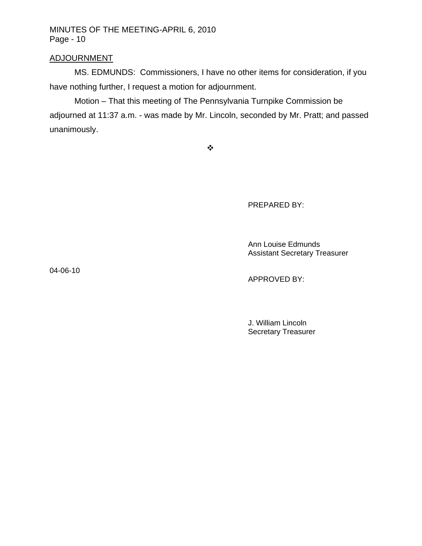## ADJOURNMENT

MS. EDMUNDS: Commissioners, I have no other items for consideration, if you have nothing further, I request a motion for adjournment.

Motion – That this meeting of The Pennsylvania Turnpike Commission be adjourned at 11:37 a.m. - was made by Mr. Lincoln, seconded by Mr. Pratt; and passed unanimously.

 $\ddot{\psi}$ 

PREPARED BY:

#### Ann Louise Edmunds Assistant Secretary Treasurer

04-06-10

APPROVED BY:

 J. William Lincoln Secretary Treasurer